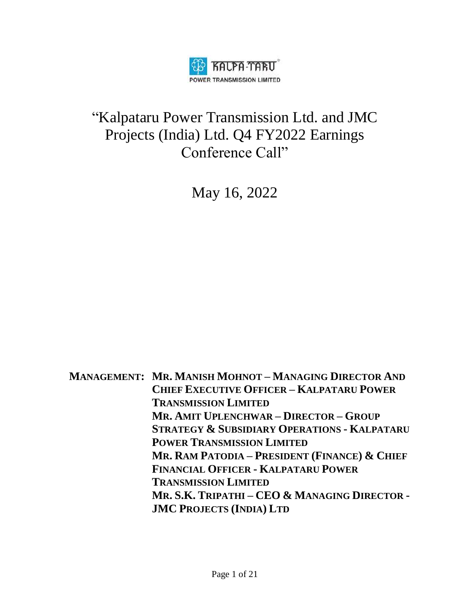

## "Kalpataru Power Transmission Ltd. and JMC Projects (India) Ltd. Q4 FY2022 Earnings Conference Call"

May 16, 2022

**MANAGEMENT: MR. MANISH MOHNOT – MANAGING DIRECTOR AND CHIEF EXECUTIVE OFFICER – KALPATARU POWER TRANSMISSION LIMITED MR. AMIT UPLENCHWAR – DIRECTOR – GROUP STRATEGY & SUBSIDIARY OPERATIONS - KALPATARU POWER TRANSMISSION LIMITED MR. RAM PATODIA – PRESIDENT (FINANCE) & CHIEF FINANCIAL OFFICER - KALPATARU POWER TRANSMISSION LIMITED MR. S.K. TRIPATHI – CEO & MANAGING DIRECTOR - JMC PROJECTS (INDIA) LTD**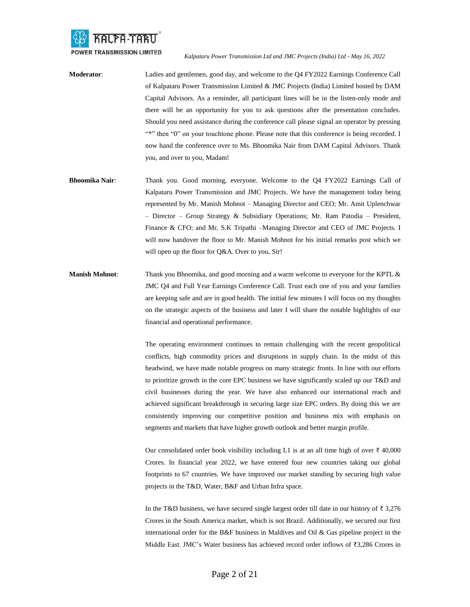

- **Moderator**: Ladies and gentlemen, good day, and welcome to the Q4 FY2022 Earnings Conference Call of Kalpataru Power Transmission Limited & JMC Projects (India) Limited hosted by DAM Capital Advisors. As a reminder, all participant lines will be in the listen-only mode and there will be an opportunity for you to ask questions after the presentation concludes. Should you need assistance during the conference call please signal an operator by pressing "\*" then "0" on your touchtone phone. Please note that this conference is being recorded. I now hand the conference over to Ms. Bhoomika Nair from DAM Capital Advisors. Thank you, and over to you, Madam!
- **Bhoomika Nair**: Thank you. Good morning, everyone. Welcome to the Q4 FY2022 Earnings Call of Kalpataru Power Transmission and JMC Projects. We have the management today being represented by Mr. Manish Mohnot – Managing Director and CEO; Mr. Amit Uplenchwar – Director – Group Strategy & Subsidiary Operations; Mr. Ram Patodia – President, Finance & CFO; and Mr. S.K Tripathi –Managing Director and CEO of JMC Projects. I will now handover the floor to Mr. Manish Mohnot for his initial remarks post which we will open up the floor for Q&A. Over to you, Sir!
- **Manish Mohnot**: Thank you Bhoomika, and good morning and a warm welcome to everyone for the KPTL & JMC Q4 and Full Year Earnings Conference Call. Trust each one of you and your families are keeping safe and are in good health. The initial few minutes I will focus on my thoughts on the strategic aspects of the business and later I will share the notable highlights of our financial and operational performance.

The operating environment continues to remain challenging with the recent geopolitical conflicts, high commodity prices and disruptions in supply chain. In the midst of this headwind, we have made notable progress on many strategic fronts. In line with our efforts to prioritize growth in the core EPC business we have significantly scaled up our T&D and civil businesses during the year. We have also enhanced our international reach and achieved significant breakthrough in securing large size EPC orders. By doing this we are consistently improving our competitive position and business mix with emphasis on segments and markets that have higher growth outlook and better margin profile.

Our consolidated order book visibility including L1 is at an all time high of over ₹ 40,000 Crores. In financial year 2022, we have entered four new countries taking our global footprints to 67 countries. We have improved our market standing by securing high value projects in the T&D, Water, B&F and Urban Infra space.

In the T&D business, we have secured single largest order till date in our history of ₹ 3,276 Crores in the South America market, which is not Brazil. Additionally, we secured our first international order for the B&F business in Maldives and Oil & Gas pipeline project in the Middle East. JMC's Water business has achieved record order inflows of ₹3,286 Crores in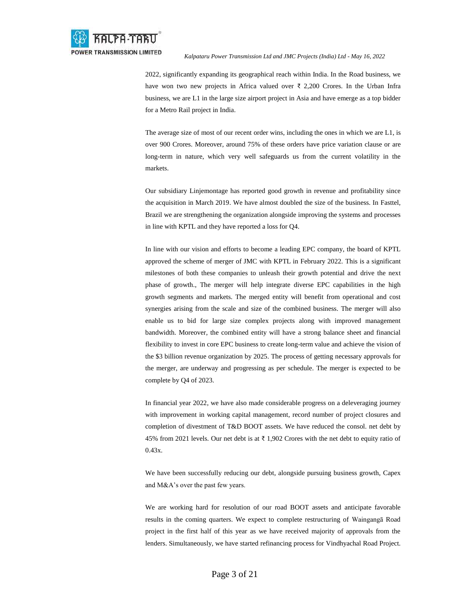

2022, significantly expanding its geographical reach within India. In the Road business, we have won two new projects in Africa valued over ₹ 2,200 Crores. In the Urban Infra business, we are L1 in the large size airport project in Asia and have emerge as a top bidder for a Metro Rail project in India.

The average size of most of our recent order wins, including the ones in which we are L1, is over 900 Crores. Moreover, around 75% of these orders have price variation clause or are long-term in nature, which very well safeguards us from the current volatility in the markets.

Our subsidiary Linjemontage has reported good growth in revenue and profitability since the acquisition in March 2019. We have almost doubled the size of the business. In Fasttel, Brazil we are strengthening the organization alongside improving the systems and processes in line with KPTL and they have reported a loss for Q4.

In line with our vision and efforts to become a leading EPC company, the board of KPTL approved the scheme of merger of JMC with KPTL in February 2022. This is a significant milestones of both these companies to unleash their growth potential and drive the next phase of growth., The merger will help integrate diverse EPC capabilities in the high growth segments and markets. The merged entity will benefit from operational and cost synergies arising from the scale and size of the combined business. The merger will also enable us to bid for large size complex projects along with improved management bandwidth. Moreover, the combined entity will have a strong balance sheet and financial flexibility to invest in core EPC business to create long-term value and achieve the vision of the \$3 billion revenue organization by 2025. The process of getting necessary approvals for the merger, are underway and progressing as per schedule. The merger is expected to be complete by Q4 of 2023.

In financial year 2022, we have also made considerable progress on a deleveraging journey with improvement in working capital management, record number of project closures and completion of divestment of T&D BOOT assets. We have reduced the consol. net debt by 45% from 2021 levels. Our net debt is at  $\bar{\tau}$  1,902 Crores with the net debt to equity ratio of 0.43x.

We have been successfully reducing our debt, alongside pursuing business growth, Capex and M&A's over the past few years.

We are working hard for resolution of our road BOOT assets and anticipate favorable results in the coming quarters. We expect to complete restructuring of Waingangā Road project in the first half of this year as we have received majority of approvals from the lenders. Simultaneously, we have started refinancing process for Vindhyachal Road Project.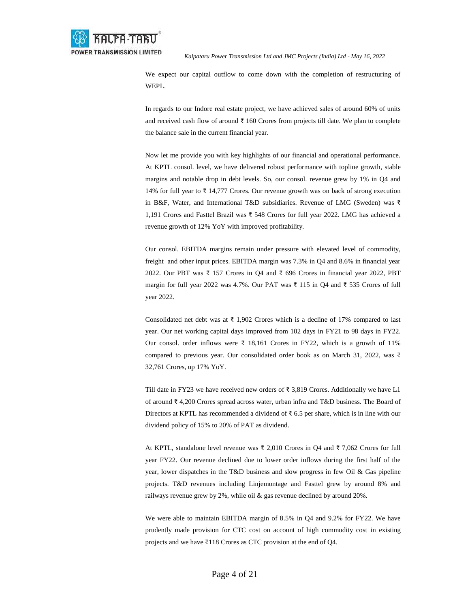

We expect our capital outflow to come down with the completion of restructuring of WEPL.

In regards to our Indore real estate project, we have achieved sales of around 60% of units and received cash flow of around ₹ 160 Crores from projects till date. We plan to complete the balance sale in the current financial year.

Now let me provide you with key highlights of our financial and operational performance. At KPTL consol. level, we have delivered robust performance with topline growth, stable margins and notable drop in debt levels. So, our consol. revenue grew by 1% in Q4 and 14% for full year to ₹ 14,777 Crores. Our revenue growth was on back of strong execution in B&F, Water, and International T&D subsidiaries. Revenue of LMG (Sweden) was ₹ 1,191 Crores and Fasttel Brazil was ₹ 548 Crores for full year 2022. LMG has achieved a revenue growth of 12% YoY with improved profitability.

Our consol. EBITDA margins remain under pressure with elevated level of commodity, freight and other input prices. EBITDA margin was 7.3% in Q4 and 8.6% in financial year 2022. Our PBT was ₹ 157 Crores in Q4 and ₹ 696 Crores in financial year 2022, PBT margin for full year 2022 was 4.7%. Our PAT was ₹ 115 in Q4 and ₹ 535 Crores of full year 2022.

Consolidated net debt was at  $\bar{\tau}$  1,902 Crores which is a decline of 17% compared to last year. Our net working capital days improved from 102 days in FY21 to 98 days in FY22. Our consol. order inflows were  $\bar{\xi}$  18,161 Crores in FY22, which is a growth of 11% compared to previous year. Our consolidated order book as on March 31, 2022, was ₹ 32,761 Crores, up 17% YoY.

Till date in FY23 we have received new orders of  $\bar{\tau}$  3,819 Crores. Additionally we have L1 of around ₹ 4,200 Crores spread across water, urban infra and T&D business. The Board of Directors at KPTL has recommended a dividend of  $\bar{\tau}$  6.5 per share, which is in line with our dividend policy of 15% to 20% of PAT as dividend.

At KPTL, standalone level revenue was  $\bar{\xi}$  2,010 Crores in O4 and  $\bar{\xi}$  7,062 Crores for full year FY22. Our revenue declined due to lower order inflows during the first half of the year, lower dispatches in the T&D business and slow progress in few Oil & Gas pipeline projects. T&D revenues including Linjemontage and Fasttel grew by around 8% and railways revenue grew by 2%, while oil & gas revenue declined by around 20%.

We were able to maintain EBITDA margin of 8.5% in Q4 and 9.2% for FY22. We have prudently made provision for CTC cost on account of high commodity cost in existing projects and we have ₹118 Crores as CTC provision at the end of Q4.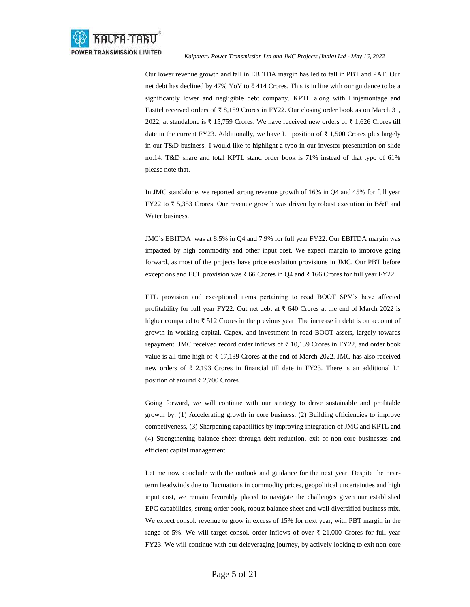

Our lower revenue growth and fall in EBITDA margin has led to fall in PBT and PAT. Our net debt has declined by 47% YoY to  $\bar{\tau}$  414 Crores. This is in line with our guidance to be a significantly lower and negligible debt company. KPTL along with Linjemontage and Fasttel received orders of ₹ 8,159 Crores in FY22. Our closing order book as on March 31, 2022, at standalone is ₹ 15,759 Crores. We have received new orders of ₹ 1,626 Crores till date in the current FY23. Additionally, we have L1 position of  $\bar{\tau}$  1,500 Crores plus largely in our T&D business. I would like to highlight a typo in our investor presentation on slide no.14. T&D share and total KPTL stand order book is 71% instead of that typo of 61% please note that.

In JMC standalone, we reported strong revenue growth of 16% in Q4 and 45% for full year FY22 to ₹ 5,353 Crores. Our revenue growth was driven by robust execution in B&F and Water business.

JMC's EBITDA was at 8.5% in Q4 and 7.9% for full year FY22. Our EBITDA margin was impacted by high commodity and other input cost. We expect margin to improve going forward, as most of the projects have price escalation provisions in JMC. Our PBT before exceptions and ECL provision was  $\bar{\tau}$  66 Crores in Q4 and  $\bar{\tau}$  166 Crores for full year FY22.

ETL provision and exceptional items pertaining to road BOOT SPV's have affected profitability for full year FY22. Out net debt at  $\bar{\tau}$  640 Crores at the end of March 2022 is higher compared to ₹ 512 Crores in the previous year. The increase in debt is on account of growth in working capital, Capex, and investment in road BOOT assets, largely towards repayment. JMC received record order inflows of ₹ 10,139 Crores in FY22, and order book value is all time high of  $\bar{\xi}$  17,139 Crores at the end of March 2022. JMC has also received new orders of ₹ 2,193 Crores in financial till date in FY23. There is an additional L1 position of around ₹ 2,700 Crores.

Going forward, we will continue with our strategy to drive sustainable and profitable growth by: (1) Accelerating growth in core business, (2) Building efficiencies to improve competiveness, (3) Sharpening capabilities by improving integration of JMC and KPTL and (4) Strengthening balance sheet through debt reduction, exit of non-core businesses and efficient capital management.

Let me now conclude with the outlook and guidance for the next year. Despite the nearterm headwinds due to fluctuations in commodity prices, geopolitical uncertainties and high input cost, we remain favorably placed to navigate the challenges given our established EPC capabilities, strong order book, robust balance sheet and well diversified business mix. We expect consol. revenue to grow in excess of 15% for next year, with PBT margin in the range of 5%. We will target consol. order inflows of over  $\bar{\tau}$  21,000 Crores for full year FY23. We will continue with our deleveraging journey, by actively looking to exit non-core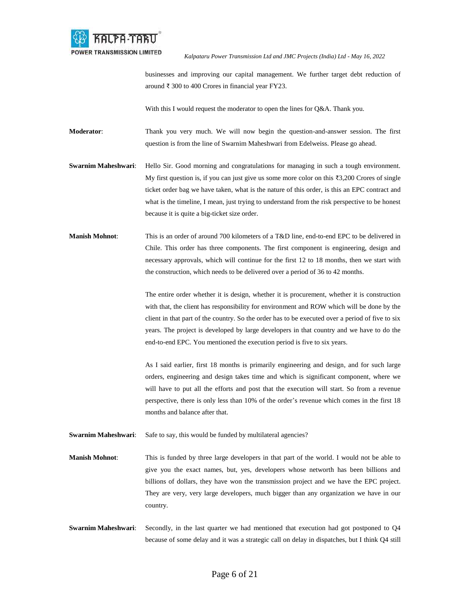

businesses and improving our capital management. We further target debt reduction of around ₹ 300 to 400 Crores in financial year FY23.

With this I would request the moderator to open the lines for Q&A. Thank you.

**Moderator**: Thank you very much. We will now begin the question-and-answer session. The first question is from the line of Swarnim Maheshwari from Edelweiss. Please go ahead.

**Swarnim Maheshwari**: Hello Sir. Good morning and congratulations for managing in such a tough environment. My first question is, if you can just give us some more color on this ₹3,200 Crores of single ticket order bag we have taken, what is the nature of this order, is this an EPC contract and what is the timeline, I mean, just trying to understand from the risk perspective to be honest because it is quite a big-ticket size order.

**Manish Mohnot**: This is an order of around 700 kilometers of a T&D line, end-to-end EPC to be delivered in Chile. This order has three components. The first component is engineering, design and necessary approvals, which will continue for the first 12 to 18 months, then we start with the construction, which needs to be delivered over a period of 36 to 42 months.

> The entire order whether it is design, whether it is procurement, whether it is construction with that, the client has responsibility for environment and ROW which will be done by the client in that part of the country. So the order has to be executed over a period of five to six years. The project is developed by large developers in that country and we have to do the end-to-end EPC. You mentioned the execution period is five to six years.

> As I said earlier, first 18 months is primarily engineering and design, and for such large orders, engineering and design takes time and which is significant component, where we will have to put all the efforts and post that the execution will start. So from a revenue perspective, there is only less than 10% of the order's revenue which comes in the first 18 months and balance after that.

**Swarnim Maheshwari:** Safe to say, this would be funded by multilateral agencies?

**Manish Mohnot**: This is funded by three large developers in that part of the world. I would not be able to give you the exact names, but, yes, developers whose networth has been billions and billions of dollars, they have won the transmission project and we have the EPC project. They are very, very large developers, much bigger than any organization we have in our country.

**Swarnim Maheshwari:** Secondly, in the last quarter we had mentioned that execution had got postponed to Q4 because of some delay and it was a strategic call on delay in dispatches, but I think Q4 still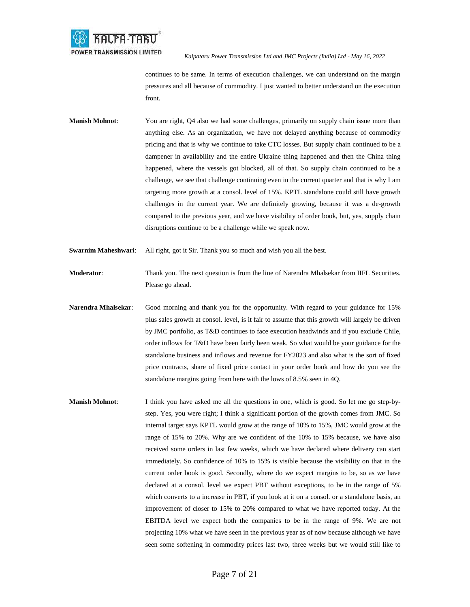

continues to be same. In terms of execution challenges, we can understand on the margin pressures and all because of commodity. I just wanted to better understand on the execution front.

**Manish Mohnot:** You are right, Q4 also we had some challenges, primarily on supply chain issue more than anything else. As an organization, we have not delayed anything because of commodity pricing and that is why we continue to take CTC losses. But supply chain continued to be a dampener in availability and the entire Ukraine thing happened and then the China thing happened, where the vessels got blocked, all of that. So supply chain continued to be a challenge, we see that challenge continuing even in the current quarter and that is why I am targeting more growth at a consol. level of 15%. KPTL standalone could still have growth challenges in the current year. We are definitely growing, because it was a de-growth compared to the previous year, and we have visibility of order book, but, yes, supply chain disruptions continue to be a challenge while we speak now.

**Swarnim Maheshwari:** All right, got it Sir. Thank you so much and wish you all the best.

**Moderator:** Thank you. The next question is from the line of Narendra Mhalsekar from IIFL Securities. Please go ahead.

- **Narendra Mhalsekar**: Good morning and thank you for the opportunity. With regard to your guidance for 15% plus sales growth at consol. level, is it fair to assume that this growth will largely be driven by JMC portfolio, as T&D continues to face execution headwinds and if you exclude Chile, order inflows for T&D have been fairly been weak. So what would be your guidance for the standalone business and inflows and revenue for FY2023 and also what is the sort of fixed price contracts, share of fixed price contact in your order book and how do you see the standalone margins going from here with the lows of 8.5% seen in 4Q.
- **Manish Mohnot**: I think you have asked me all the questions in one, which is good. So let me go step-bystep. Yes, you were right; I think a significant portion of the growth comes from JMC. So internal target says KPTL would grow at the range of 10% to 15%, JMC would grow at the range of 15% to 20%. Why are we confident of the 10% to 15% because, we have also received some orders in last few weeks, which we have declared where delivery can start immediately. So confidence of 10% to 15% is visible because the visibility on that in the current order book is good. Secondly, where do we expect margins to be, so as we have declared at a consol. level we expect PBT without exceptions, to be in the range of 5% which converts to a increase in PBT, if you look at it on a consol. or a standalone basis, an improvement of closer to 15% to 20% compared to what we have reported today. At the EBITDA level we expect both the companies to be in the range of 9%. We are not projecting 10% what we have seen in the previous year as of now because although we have seen some softening in commodity prices last two, three weeks but we would still like to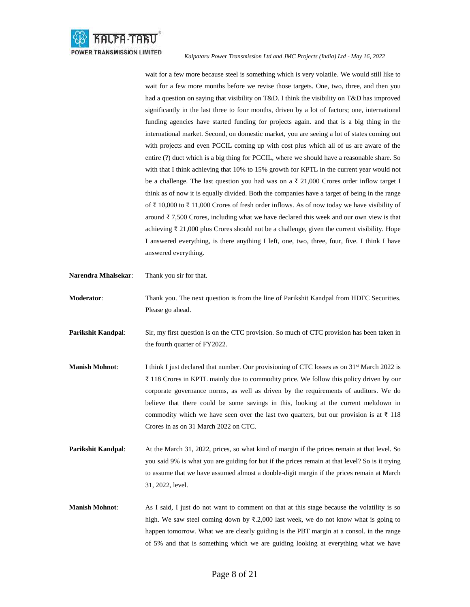

wait for a few more because steel is something which is very volatile. We would still like to wait for a few more months before we revise those targets. One, two, three, and then you had a question on saying that visibility on T&D. I think the visibility on T&D has improved significantly in the last three to four months, driven by a lot of factors; one, international funding agencies have started funding for projects again. and that is a big thing in the international market. Second, on domestic market, you are seeing a lot of states coming out with projects and even PGCIL coming up with cost plus which all of us are aware of the entire (?) duct which is a big thing for PGCIL, where we should have a reasonable share. So with that I think achieving that 10% to 15% growth for KPTL in the current year would not be a challenge. The last question you had was on a  $\bar{\ell}$  21,000 Crores order inflow target I think as of now it is equally divided. Both the companies have a target of being in the range of ₹ 10,000 to ₹ 11,000 Crores of fresh order inflows. As of now today we have visibility of around ₹7,500 Crores, including what we have declared this week and our own view is that achieving ₹ 21,000 plus Crores should not be a challenge, given the current visibility. Hope I answered everything, is there anything I left, one, two, three, four, five. I think I have answered everything.

**Narendra Mhalsekar**: Thank you sir for that. **Moderator:** Thank you. The next question is from the line of Parikshit Kandpal from HDFC Securities. Please go ahead. **Parikshit Kandpal:** Sir, my first question is on the CTC provision. So much of CTC provision has been taken in the fourth quarter of FY2022. **Manish Mohnot:** I think I just declared that number. Our provisioning of CTC losses as on 31<sup>st</sup> March 2022 is ₹ 118 Crores in KPTL mainly due to commodity price. We follow this policy driven by our corporate governance norms, as well as driven by the requirements of auditors. We do believe that there could be some savings in this, looking at the current meltdown in commodity which we have seen over the last two quarters, but our provision is at  $\bar{\tau}$  118 Crores in as on 31 March 2022 on CTC. **Parikshit Kandpal:** At the March 31, 2022, prices, so what kind of margin if the prices remain at that level. So you said 9% is what you are guiding for but if the prices remain at that level? So is it trying to assume that we have assumed almost a double-digit margin if the prices remain at March 31, 2022, level. **Manish Mohnot:** As I said, I just do not want to comment on that at this stage because the volatility is so high. We saw steel coming down by  $\bar{\xi}$ ,2,000 last week, we do not know what is going to happen tomorrow. What we are clearly guiding is the PBT margin at a consol. in the range

of 5% and that is something which we are guiding looking at everything what we have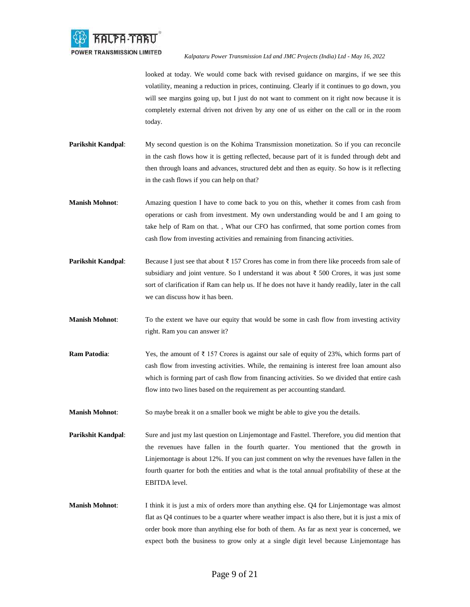

looked at today. We would come back with revised guidance on margins, if we see this volatility, meaning a reduction in prices, continuing. Clearly if it continues to go down, you will see margins going up, but I just do not want to comment on it right now because it is completely external driven not driven by any one of us either on the call or in the room today.

- **Parikshit Kandpal:** My second question is on the Kohima Transmission monetization. So if you can reconcile in the cash flows how it is getting reflected, because part of it is funded through debt and then through loans and advances, structured debt and then as equity. So how is it reflecting in the cash flows if you can help on that?
- **Manish Mohnot**: Amazing question I have to come back to you on this, whether it comes from cash from operations or cash from investment. My own understanding would be and I am going to take help of Ram on that. , What our CFO has confirmed, that some portion comes from cash flow from investing activities and remaining from financing activities.
- **Parikshit Kandpal:** Because I just see that about ₹ 157 Crores has come in from there like proceeds from sale of subsidiary and joint venture. So I understand it was about ₹ 500 Crores, it was just some sort of clarification if Ram can help us. If he does not have it handy readily, later in the call we can discuss how it has been.
- **Manish Mohnot:** To the extent we have our equity that would be some in cash flow from investing activity right. Ram you can answer it?
- **Ram Patodia**: Yes, the amount of ₹ 157 Crores is against our sale of equity of 23%, which forms part of cash flow from investing activities. While, the remaining is interest free loan amount also which is forming part of cash flow from financing activities. So we divided that entire cash flow into two lines based on the requirement as per accounting standard.
- **Manish Mohnot**: So maybe break it on a smaller book we might be able to give you the details.
- **Parikshit Kandpal**: Sure and just my last question on Linjemontage and Fasttel. Therefore, you did mention that the revenues have fallen in the fourth quarter. You mentioned that the growth in Linjemontage is about 12%. If you can just comment on why the revenues have fallen in the fourth quarter for both the entities and what is the total annual profitability of these at the EBITDA level.
- **Manish Mohnot**: I think it is just a mix of orders more than anything else. Q4 for Linjemontage was almost flat as Q4 continues to be a quarter where weather impact is also there, but it is just a mix of order book more than anything else for both of them. As far as next year is concerned, we expect both the business to grow only at a single digit level because Linjemontage has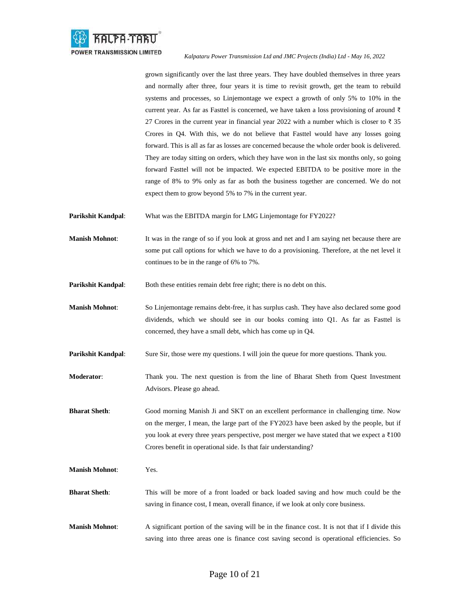

grown significantly over the last three years. They have doubled themselves in three years and normally after three, four years it is time to revisit growth, get the team to rebuild systems and processes, so Linjemontage we expect a growth of only 5% to 10% in the current year. As far as Fasttel is concerned, we have taken a loss provisioning of around  $\bar{\tau}$ 27 Crores in the current year in financial year 2022 with a number which is closer to ₹ 35 Crores in Q4. With this, we do not believe that Fasttel would have any losses going forward. This is all as far as losses are concerned because the whole order book is delivered. They are today sitting on orders, which they have won in the last six months only, so going forward Fasttel will not be impacted. We expected EBITDA to be positive more in the range of 8% to 9% only as far as both the business together are concerned. We do not expect them to grow beyond 5% to 7% in the current year.

**Parikshit Kandpal:** What was the EBITDA margin for LMG Linjemontage for FY2022?

**Manish Mohnot:** It was in the range of so if you look at gross and net and I am saying net because there are some put call options for which we have to do a provisioning. Therefore, at the net level it continues to be in the range of 6% to 7%.

**Parikshit Kandpal:** Both these entities remain debt free right; there is no debt on this.

**Manish Mohnot**: So Linjemontage remains debt-free, it has surplus cash. They have also declared some good dividends, which we should see in our books coming into Q1. As far as Fasttel is concerned, they have a small debt, which has come up in Q4.

**Parikshit Kandpal:** Sure Sir, those were my questions. I will join the queue for more questions. Thank you.

**Moderator**: Thank you. The next question is from the line of Bharat Sheth from Quest Investment Advisors. Please go ahead.

**Bharat Sheth**: Good morning Manish Ji and SKT on an excellent performance in challenging time. Now on the merger, I mean, the large part of the FY2023 have been asked by the people, but if you look at every three years perspective, post merger we have stated that we expect a ₹100 Crores benefit in operational side. Is that fair understanding?

**Manish Mohnot**: Yes.

**Bharat Sheth**: This will be more of a front loaded or back loaded saving and how much could be the saving in finance cost, I mean, overall finance, if we look at only core business.

**Manish Mohnot**: A significant portion of the saving will be in the finance cost. It is not that if I divide this saving into three areas one is finance cost saving second is operational efficiencies. So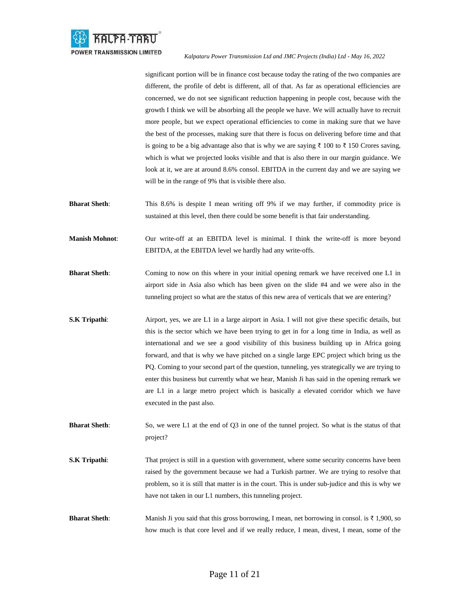

significant portion will be in finance cost because today the rating of the two companies are different, the profile of debt is different, all of that. As far as operational efficiencies are concerned, we do not see significant reduction happening in people cost, because with the growth I think we will be absorbing all the people we have. We will actually have to recruit more people, but we expect operational efficiencies to come in making sure that we have the best of the processes, making sure that there is focus on delivering before time and that is going to be a big advantage also that is why we are saying ₹ 100 to ₹ 150 Crores saving, which is what we projected looks visible and that is also there in our margin guidance. We look at it, we are at around 8.6% consol. EBITDA in the current day and we are saying we will be in the range of 9% that is visible there also.

**Bharat Sheth**: This 8.6% is despite I mean writing off 9% if we may further, if commodity price is sustained at this level, then there could be some benefit is that fair understanding.

**Manish Mohnot**: Our write-off at an EBITDA level is minimal. I think the write-off is more beyond EBITDA, at the EBITDA level we hardly had any write-offs.

- **Bharat Sheth**: Coming to now on this where in your initial opening remark we have received one L1 in airport side in Asia also which has been given on the slide #4 and we were also in the tunneling project so what are the status of this new area of verticals that we are entering?
- **S.K Tripathi:** Airport, yes, we are L1 in a large airport in Asia. I will not give these specific details, but this is the sector which we have been trying to get in for a long time in India, as well as international and we see a good visibility of this business building up in Africa going forward, and that is why we have pitched on a single large EPC project which bring us the PQ. Coming to your second part of the question, tunneling, yes strategically we are trying to enter this business but currently what we hear, Manish Ji has said in the opening remark we are L1 in a large metro project which is basically a elevated corridor which we have executed in the past also.

**Bharat Sheth**: So, we were L1 at the end of Q3 in one of the tunnel project. So what is the status of that project?

- **S.K Tripathi:** That project is still in a question with government, where some security concerns have been raised by the government because we had a Turkish partner. We are trying to resolve that problem, so it is still that matter is in the court. This is under sub-judice and this is why we have not taken in our L1 numbers, this tunneling project.
- **Bharat Sheth**: Manish Ji you said that this gross borrowing, I mean, net borrowing in consol. is ₹ 1,900, so how much is that core level and if we really reduce, I mean, divest, I mean, some of the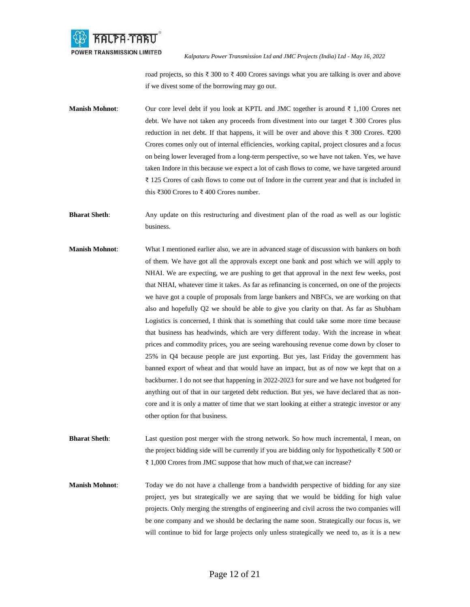

road projects, so this ₹ 300 to ₹ 400 Crores savings what you are talking is over and above if we divest some of the borrowing may go out.

- **Manish Mohnot**: Our core level debt if you look at KPTL and JMC together is around ₹ 1,100 Crores net debt. We have not taken any proceeds from divestment into our target ₹ 300 Crores plus reduction in net debt. If that happens, it will be over and above this ₹ 300 Crores. ₹200 Crores comes only out of internal efficiencies, working capital, project closures and a focus on being lower leveraged from a long-term perspective, so we have not taken. Yes, we have taken Indore in this because we expect a lot of cash flows to come, we have targeted around ₹ 125 Crores of cash flows to come out of Indore in the current year and that is included in this ₹300 Crores to ₹ 400 Crores number.
- **Bharat Sheth**: Any update on this restructuring and divestment plan of the road as well as our logistic business.
- **Manish Mohnot**: What I mentioned earlier also, we are in advanced stage of discussion with bankers on both of them. We have got all the approvals except one bank and post which we will apply to NHAI. We are expecting, we are pushing to get that approval in the next few weeks, post that NHAI, whatever time it takes. As far as refinancing is concerned, on one of the projects we have got a couple of proposals from large bankers and NBFCs, we are working on that also and hopefully Q2 we should be able to give you clarity on that. As far as Shubham Logistics is concerned, I think that is something that could take some more time because that business has headwinds, which are very different today. With the increase in wheat prices and commodity prices, you are seeing warehousing revenue come down by closer to 25% in Q4 because people are just exporting. But yes, last Friday the government has banned export of wheat and that would have an impact, but as of now we kept that on a backburner. I do not see that happening in 2022-2023 for sure and we have not budgeted for anything out of that in our targeted debt reduction. But yes, we have declared that as noncore and it is only a matter of time that we start looking at either a strategic investor or any other option for that business.
- **Bharat Sheth**: Last question post merger with the strong network. So how much incremental, I mean, on the project bidding side will be currently if you are bidding only for hypothetically ₹ 500 or ₹ 1,000 Crores from JMC suppose that how much of that,we can increase?
- **Manish Mohnot**: Today we do not have a challenge from a bandwidth perspective of bidding for any size project, yes but strategically we are saying that we would be bidding for high value projects. Only merging the strengths of engineering and civil across the two companies will be one company and we should be declaring the name soon. Strategically our focus is, we will continue to bid for large projects only unless strategically we need to, as it is a new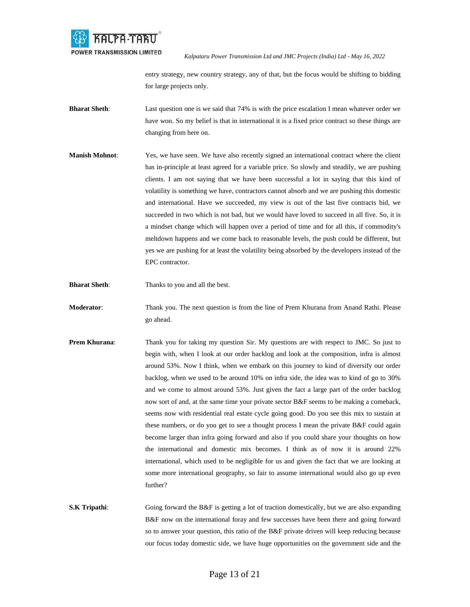

entry strategy, new country strategy, any of that, but the focus would be shifting to bidding for large projects only.

- **Bharat Sheth**: Last question one is we said that 74% is with the price escalation I mean whatever order we have won. So my belief is that in international it is a fixed price contract so these things are changing from here on.
- **Manish Mohnot**: Yes, we have seen. We have also recently signed an international contract where the client has in-principle at least agreed for a variable price. So slowly and steadily, we are pushing clients. I am not saying that we have been successful a lot in saying that this kind of volatility is something we have, contractors cannot absorb and we are pushing this domestic and international. Have we succeeded, my view is out of the last five contracts bid, we succeeded in two which is not bad, but we would have loved to succeed in all five. So, it is a mindset change which will happen over a period of time and for all this, if commodity's meltdown happens and we come back to reasonable levels, the push could be different, but yes we are pushing for at least the volatility being absorbed by the developers instead of the EPC contractor.
- **Bharat Sheth:** Thanks to you and all the best.
- **Moderator**: Thank you. The next question is from the line of Prem Khurana from Anand Rathi. Please go ahead.
- **Prem Khurana:** Thank you for taking my question Sir. My questions are with respect to JMC. So just to begin with, when I look at our order backlog and look at the composition, infra is almost around 53%. Now I think, when we embark on this journey to kind of diversify our order backlog, when we used to be around 10% on infra side, the idea was to kind of go to 30% and we come to almost around 53%. Just given the fact a large part of the order backlog now sort of and, at the same time your private sector B&F seems to be making a comeback, seems now with residential real estate cycle going good. Do you see this mix to sustain at these numbers, or do you get to see a thought process I mean the private B&F could again become larger than infra going forward and also if you could share your thoughts on how the international and domestic mix becomes. I think as of now it is around 22% international, which used to be negligible for us and given the fact that we are looking at some more international geography, so fair to assume international would also go up even further?
- **S.K Tripathi:** Going forward the B&F is getting a lot of traction domestically, but we are also expanding B&F now on the international foray and few successes have been there and going forward so to answer your question, this ratio of the B&F private driven will keep reducing because our focus today domestic side, we have huge opportunities on the government side and the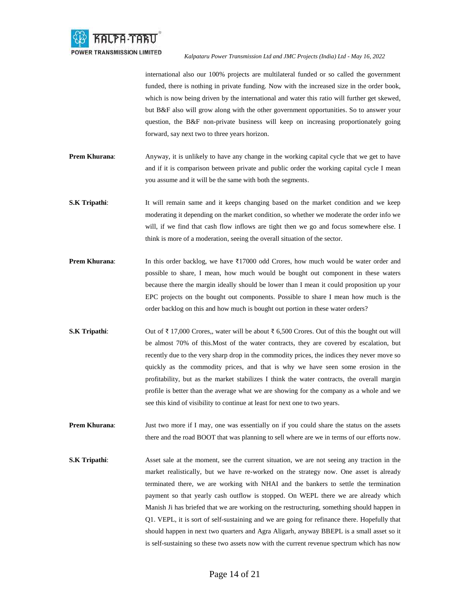

international also our 100% projects are multilateral funded or so called the government funded, there is nothing in private funding. Now with the increased size in the order book, which is now being driven by the international and water this ratio will further get skewed, but B&F also will grow along with the other government opportunities. So to answer your question, the B&F non-private business will keep on increasing proportionately going forward, say next two to three years horizon.

- **Prem Khurana:** Anyway, it is unlikely to have any change in the working capital cycle that we get to have and if it is comparison between private and public order the working capital cycle I mean you assume and it will be the same with both the segments.
- **S.K Tripathi:** It will remain same and it keeps changing based on the market condition and we keep moderating it depending on the market condition, so whether we moderate the order info we will, if we find that cash flow inflows are tight then we go and focus somewhere else. I think is more of a moderation, seeing the overall situation of the sector.
- **Prem Khurana:** In this order backlog, we have ₹17000 odd Crores, how much would be water order and possible to share, I mean, how much would be bought out component in these waters because there the margin ideally should be lower than I mean it could proposition up your EPC projects on the bought out components. Possible to share I mean how much is the order backlog on this and how much is bought out portion in these water orders?
- **S.K Tripathi**: Out of ₹ 17,000 Crores,, water will be about ₹ 6,500 Crores. Out of this the bought out will be almost 70% of this.Most of the water contracts, they are covered by escalation, but recently due to the very sharp drop in the commodity prices, the indices they never move so quickly as the commodity prices, and that is why we have seen some erosion in the profitability, but as the market stabilizes I think the water contracts, the overall margin profile is better than the average what we are showing for the company as a whole and we see this kind of visibility to continue at least for next one to two years.
- **Prem Khurana:** Just two more if I may, one was essentially on if you could share the status on the assets there and the road BOOT that was planning to sell where are we in terms of our efforts now.
- **S.K Tripathi:** Asset sale at the moment, see the current situation, we are not seeing any traction in the market realistically, but we have re-worked on the strategy now. One asset is already terminated there, we are working with NHAI and the bankers to settle the termination payment so that yearly cash outflow is stopped. On WEPL there we are already which Manish Ji has briefed that we are working on the restructuring, something should happen in Q1. VEPL, it is sort of self-sustaining and we are going for refinance there. Hopefully that should happen in next two quarters and Agra Aligarh, anyway BBEPL is a small asset so it is self-sustaining so these two assets now with the current revenue spectrum which has now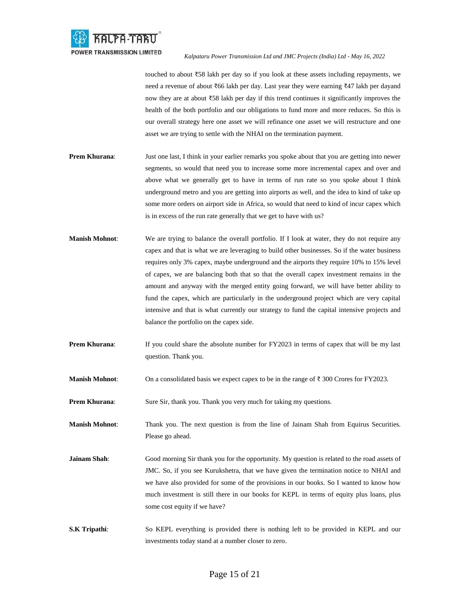

touched to about ₹58 lakh per day so if you look at these assets including repayments, we need a revenue of about ₹66 lakh per day. Last year they were earning ₹47 lakh per dayand now they are at about ₹58 lakh per day if this trend continues it significantly improves the health of the both portfolio and our obligations to fund more and more reduces. So this is our overall strategy here one asset we will refinance one asset we will restructure and one asset we are trying to settle with the NHAI on the termination payment.

- **Prem Khurana**: Just one last, I think in your earlier remarks you spoke about that you are getting into newer segments, so would that need you to increase some more incremental capex and over and above what we generally get to have in terms of run rate so you spoke about I think underground metro and you are getting into airports as well, and the idea to kind of take up some more orders on airport side in Africa, so would that need to kind of incur capex which is in excess of the run rate generally that we get to have with us?
- **Manish Mohnot:** We are trying to balance the overall portfolio. If I look at water, they do not require any capex and that is what we are leveraging to build other businesses. So if the water business requires only 3% capex, maybe underground and the airports they require 10% to 15% level of capex, we are balancing both that so that the overall capex investment remains in the amount and anyway with the merged entity going forward, we will have better ability to fund the capex, which are particularly in the underground project which are very capital intensive and that is what currently our strategy to fund the capital intensive projects and balance the portfolio on the capex side.
- **Prem Khurana:** If you could share the absolute number for FY2023 in terms of capex that will be my last question. Thank you.
- **Manish Mohnot**: On a consolidated basis we expect capex to be in the range of ₹ 300 Crores for FY2023.
- **Prem Khurana:** Sure Sir, thank you. Thank you very much for taking my questions.

**Manish Mohnot**: Thank you. The next question is from the line of Jainam Shah from Equirus Securities. Please go ahead.

- **Jainam Shah**: Good morning Sir thank you for the opportunity. My question is related to the road assets of JMC. So, if you see Kurukshetra, that we have given the termination notice to NHAI and we have also provided for some of the provisions in our books. So I wanted to know how much investment is still there in our books for KEPL in terms of equity plus loans, plus some cost equity if we have?
- **S.K Tripathi:** So KEPL everything is provided there is nothing left to be provided in KEPL and our investments today stand at a number closer to zero.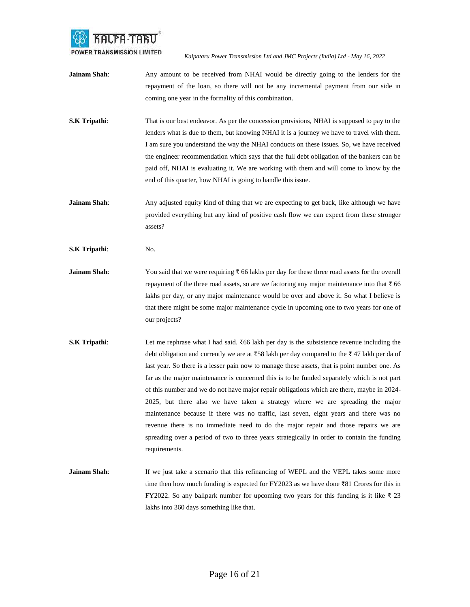

- **Jainam Shah**: Any amount to be received from NHAI would be directly going to the lenders for the repayment of the loan, so there will not be any incremental payment from our side in coming one year in the formality of this combination.
- **S.K Tripathi:** That is our best endeavor. As per the concession provisions, NHAI is supposed to pay to the lenders what is due to them, but knowing NHAI it is a journey we have to travel with them. I am sure you understand the way the NHAI conducts on these issues. So, we have received the engineer recommendation which says that the full debt obligation of the bankers can be paid off, NHAI is evaluating it. We are working with them and will come to know by the end of this quarter, how NHAI is going to handle this issue.
- **Jainam Shah**: Any adjusted equity kind of thing that we are expecting to get back, like although we have provided everything but any kind of positive cash flow we can expect from these stronger assets?
- **S.K Tripathi**: No.
- **Jainam Shah**: You said that we were requiring ₹ 66 lakhs per day for these three road assets for the overall repayment of the three road assets, so are we factoring any major maintenance into that  $\bar{z}$  66 lakhs per day, or any major maintenance would be over and above it. So what I believe is that there might be some major maintenance cycle in upcoming one to two years for one of our projects?
- **S.K Tripathi:** Let me rephrase what I had said. ₹66 lakh per day is the subsistence revenue including the debt obligation and currently we are at ₹58 lakh per day compared to the ₹ 47 lakh per da of last year. So there is a lesser pain now to manage these assets, that is point number one. As far as the major maintenance is concerned this is to be funded separately which is not part of this number and we do not have major repair obligations which are there, maybe in 2024- 2025, but there also we have taken a strategy where we are spreading the major maintenance because if there was no traffic, last seven, eight years and there was no revenue there is no immediate need to do the major repair and those repairs we are spreading over a period of two to three years strategically in order to contain the funding requirements.
- **Jainam Shah**: If we just take a scenario that this refinancing of WEPL and the VEPL takes some more time then how much funding is expected for FY2023 as we have done ₹81 Crores for this in FY2022. So any ballpark number for upcoming two years for this funding is it like ₹ 23 lakhs into 360 days something like that.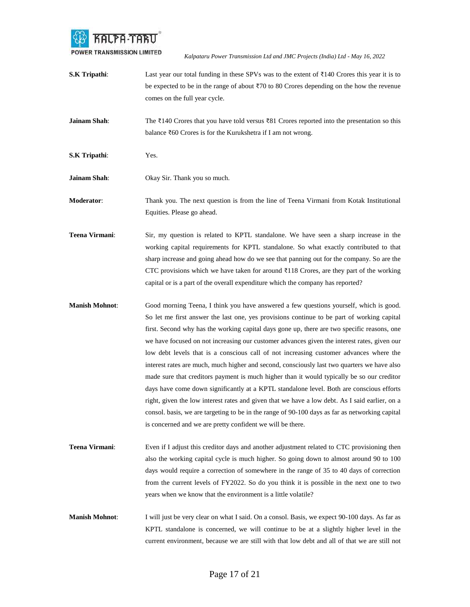

- **S.K Tripathi:** Last year our total funding in these SPVs was to the extent of ₹140 Crores this year it is to be expected to be in the range of about ₹70 to 80 Crores depending on the how the revenue comes on the full year cycle.
- **Jainam Shah**: The ₹140 Crores that you have told versus ₹81 Crores reported into the presentation so this balance ₹60 Crores is for the Kurukshetra if I am not wrong.
- **S.K Tripathi**: Yes.
- **Jainam Shah:** Okay Sir. Thank you so much.

**Moderator**: Thank you. The next question is from the line of Teena Virmani from Kotak Institutional Equities. Please go ahead.

- **Teena Virmani**: Sir, my question is related to KPTL standalone. We have seen a sharp increase in the working capital requirements for KPTL standalone. So what exactly contributed to that sharp increase and going ahead how do we see that panning out for the company. So are the CTC provisions which we have taken for around  $\overline{3}118$  Crores, are they part of the working capital or is a part of the overall expenditure which the company has reported?
- **Manish Mohnot**: Good morning Teena, I think you have answered a few questions yourself, which is good. So let me first answer the last one, yes provisions continue to be part of working capital first. Second why has the working capital days gone up, there are two specific reasons, one we have focused on not increasing our customer advances given the interest rates, given our low debt levels that is a conscious call of not increasing customer advances where the interest rates are much, much higher and second, consciously last two quarters we have also made sure that creditors payment is much higher than it would typically be so our creditor days have come down significantly at a KPTL standalone level. Both are conscious efforts right, given the low interest rates and given that we have a low debt. As I said earlier, on a consol. basis, we are targeting to be in the range of 90-100 days as far as networking capital is concerned and we are pretty confident we will be there.
- **Teena Virmani**: Even if I adjust this creditor days and another adjustment related to CTC provisioning then also the working capital cycle is much higher. So going down to almost around 90 to 100 days would require a correction of somewhere in the range of 35 to 40 days of correction from the current levels of FY2022. So do you think it is possible in the next one to two years when we know that the environment is a little volatile?
- **Manish Mohnot**: I will just be very clear on what I said. On a consol. Basis, we expect 90-100 days. As far as KPTL standalone is concerned, we will continue to be at a slightly higher level in the current environment, because we are still with that low debt and all of that we are still not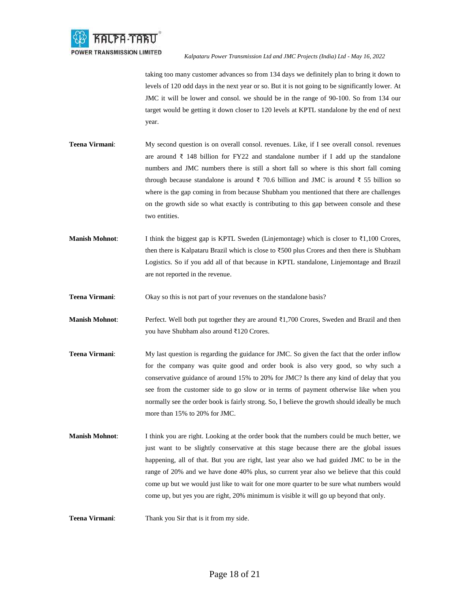

taking too many customer advances so from 134 days we definitely plan to bring it down to levels of 120 odd days in the next year or so. But it is not going to be significantly lower. At JMC it will be lower and consol. we should be in the range of 90-100. So from 134 our target would be getting it down closer to 120 levels at KPTL standalone by the end of next year.

- **Teena Virmani:** My second question is on overall consol. revenues. Like, if I see overall consol. revenues are around ₹ 148 billion for FY22 and standalone number if I add up the standalone numbers and JMC numbers there is still a short fall so where is this short fall coming through because standalone is around ₹ 70.6 billion and JMC is around ₹ 55 billion so where is the gap coming in from because Shubham you mentioned that there are challenges on the growth side so what exactly is contributing to this gap between console and these two entities.
- **Manish Mohnot**: I think the biggest gap is KPTL Sweden (Linjemontage) which is closer to ₹1,100 Crores, then there is Kalpataru Brazil which is close to ₹500 plus Crores and then there is Shubham Logistics. So if you add all of that because in KPTL standalone, Linjemontage and Brazil are not reported in the revenue.
- **Teena Virmani:** Okay so this is not part of your revenues on the standalone basis?
- **Manish Mohnot**: Perfect. Well both put together they are around ₹1,700 Crores, Sweden and Brazil and then you have Shubham also around ₹120 Crores.
- **Teena Virmani:** My last question is regarding the guidance for JMC. So given the fact that the order inflow for the company was quite good and order book is also very good, so why such a conservative guidance of around 15% to 20% for JMC? Is there any kind of delay that you see from the customer side to go slow or in terms of payment otherwise like when you normally see the order book is fairly strong. So, I believe the growth should ideally be much more than 15% to 20% for JMC.
- **Manish Mohnot:** I think you are right. Looking at the order book that the numbers could be much better, we just want to be slightly conservative at this stage because there are the global issues happening, all of that. But you are right, last year also we had guided JMC to be in the range of 20% and we have done 40% plus, so current year also we believe that this could come up but we would just like to wait for one more quarter to be sure what numbers would come up, but yes you are right, 20% minimum is visible it will go up beyond that only.

**Teena Virmani**: Thank you Sir that is it from my side.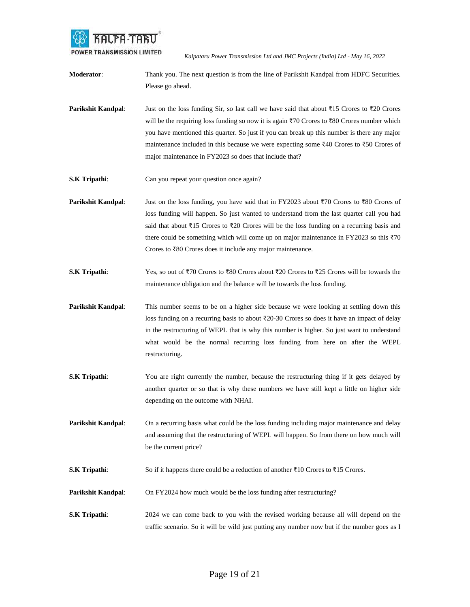

**Moderator:** Thank you. The next question is from the line of Parikshit Kandpal from HDFC Securities. Please go ahead.

- **Parikshit Kandpal**: Just on the loss funding Sir, so last call we have said that about ₹15 Crores to ₹20 Crores will be the requiring loss funding so now it is again ₹70 Crores to ₹80 Crores number which you have mentioned this quarter. So just if you can break up this number is there any major maintenance included in this because we were expecting some ₹40 Crores to ₹50 Crores of major maintenance in FY2023 so does that include that?
- **S.K Tripathi**: Can you repeat your question once again?
- **Parikshit Kandpal:** Just on the loss funding, you have said that in FY2023 about ₹70 Crores to ₹80 Crores of loss funding will happen. So just wanted to understand from the last quarter call you had said that about ₹15 Crores to ₹20 Crores will be the loss funding on a recurring basis and there could be something which will come up on major maintenance in FY2023 so this  $\overline{370}$ Crores to ₹80 Crores does it include any major maintenance.
- **S.K Tripathi**: Yes, so out of ₹70 Crores to ₹80 Crores about ₹20 Crores to ₹25 Crores will be towards the maintenance obligation and the balance will be towards the loss funding.
- **Parikshit Kandpal**: This number seems to be on a higher side because we were looking at settling down this loss funding on a recurring basis to about ₹20-30 Crores so does it have an impact of delay in the restructuring of WEPL that is why this number is higher. So just want to understand what would be the normal recurring loss funding from here on after the WEPL restructuring.
- **S.K Tripathi:** You are right currently the number, because the restructuring thing if it gets delayed by another quarter or so that is why these numbers we have still kept a little on higher side depending on the outcome with NHAI.
- **Parikshit Kandpal:** On a recurring basis what could be the loss funding including major maintenance and delay and assuming that the restructuring of WEPL will happen. So from there on how much will be the current price?
- **S.K Tripathi:** So if it happens there could be a reduction of another ₹10 Crores to ₹15 Crores.
- **Parikshit Kandpal:** On FY2024 how much would be the loss funding after restructuring?
- **S.K Tripathi:** 2024 we can come back to you with the revised working because all will depend on the traffic scenario. So it will be wild just putting any number now but if the number goes as I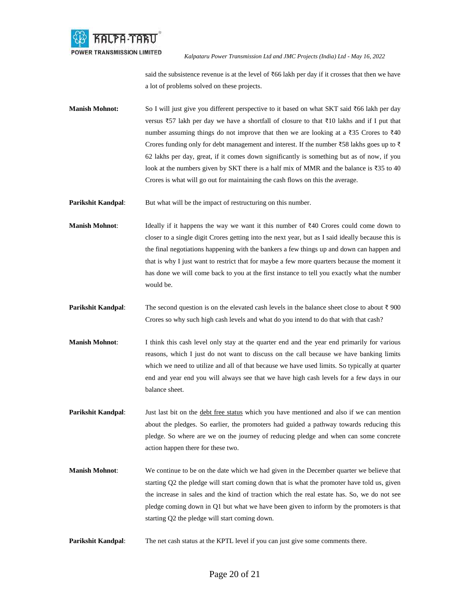

said the subsistence revenue is at the level of ₹66 lakh per day if it crosses that then we have a lot of problems solved on these projects.

Manish Mohnot: So I will just give you different perspective to it based on what SKT said ₹66 lakh per day versus ₹57 lakh per day we have a shortfall of closure to that ₹10 lakhs and if I put that number assuming things do not improve that then we are looking at a  $\overline{3}35$  Crores to  $\overline{3}40$ Crores funding only for debt management and interest. If the number ₹58 lakhs goes up to ₹ 62 lakhs per day, great, if it comes down significantly is something but as of now, if you look at the numbers given by SKT there is a half mix of MMR and the balance is ₹35 to 40 Crores is what will go out for maintaining the cash flows on this the average.

**Parikshit Kandpal:** But what will be the impact of restructuring on this number.

**Manish Mohnot**: Ideally if it happens the way we want it this number of ₹40 Crores could come down to closer to a single digit Crores getting into the next year, but as I said ideally because this is the final negotiations happening with the bankers a few things up and down can happen and that is why I just want to restrict that for maybe a few more quarters because the moment it has done we will come back to you at the first instance to tell you exactly what the number would be.

- **Parikshit Kandpal**: The second question is on the elevated cash levels in the balance sheet close to about ₹ 900 Crores so why such high cash levels and what do you intend to do that with that cash?
- **Manish Mohnot**: I think this cash level only stay at the quarter end and the year end primarily for various reasons, which I just do not want to discuss on the call because we have banking limits which we need to utilize and all of that because we have used limits. So typically at quarter end and year end you will always see that we have high cash levels for a few days in our balance sheet.
- **Parikshit Kandpal:** Just last bit on the debt free status which you have mentioned and also if we can mention about the pledges. So earlier, the promoters had guided a pathway towards reducing this pledge. So where are we on the journey of reducing pledge and when can some concrete action happen there for these two.
- **Manish Mohnot**: We continue to be on the date which we had given in the December quarter we believe that starting Q2 the pledge will start coming down that is what the promoter have told us, given the increase in sales and the kind of traction which the real estate has. So, we do not see pledge coming down in Q1 but what we have been given to inform by the promoters is that starting Q2 the pledge will start coming down.
- **Parikshit Kandpal:** The net cash status at the KPTL level if you can just give some comments there.